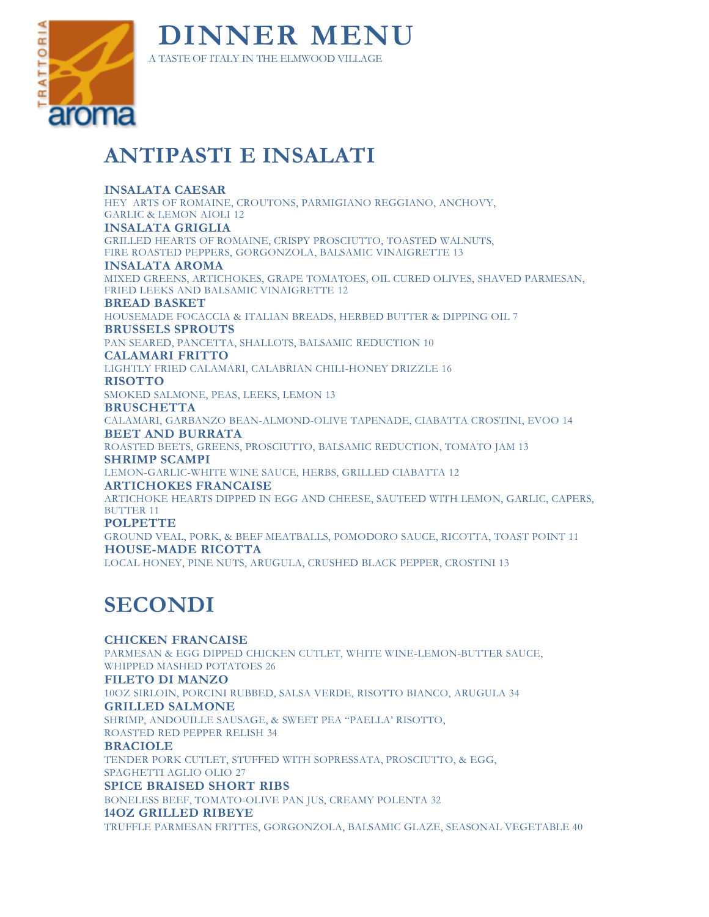

## **ANTIPASTI E INSALATI**

#### **INSALATA CAESAR**

HEY ARTS OF ROMAINE, CROUTONS, PARMIGIANO REGGIANO, ANCHOVY, GARLIC & LEMON AIOLI 12 **INSALATA GRIGLIA** GRILLED HEARTS OF ROMAINE, CRISPY PROSCIUTTO, TOASTED WALNUTS,

FIRE ROASTED PEPPERS, GORGONZOLA, BALSAMIC VINAIGRETTE 13

**INSALATA AROMA**

MIXED GREENS, ARTICHOKES, GRAPE TOMATOES, OIL CURED OLIVES, SHAVED PARMESAN, FRIED LEEKS AND BALSAMIC VINAIGRETTE 12

#### **BREAD BASKET**

HOUSEMADE FOCACCIA & ITALIAN BREADS, HERBED BUTTER & DIPPING OIL 7 **BRUSSELS SPROUTS**

PAN SEARED, PANCETTA, SHALLOTS, BALSAMIC REDUCTION 10

**CALAMARI FRITTO** 

LIGHTLY FRIED CALAMARI, CALABRIAN CHILI-HONEY DRIZZLE 16

**RISOTTO** 

SMOKED SALMONE, PEAS, LEEKS, LEMON 13

**BRUSCHETTA**

CALAMARI, GARBANZO BEAN-ALMOND-OLIVE TAPENADE, CIABATTA CROSTINI, EVOO 14 **BEET AND BURRATA**

ROASTED BEETS, GREENS, PROSCIUTTO, BALSAMIC REDUCTION, TOMATO JAM 13 **SHRIMP SCAMPI**

LEMON-GARLIC-WHITE WINE SAUCE, HERBS, GRILLED CIABATTA 12

**ARTICHOKES FRANCAISE**

ARTICHOKE HEARTS DIPPED IN EGG AND CHEESE, SAUTEED WITH LEMON, GARLIC, CAPERS, BUTTER 11

**POLPETTE**

GROUND VEAL, PORK, & BEEF MEATBALLS, POMODORO SAUCE, RICOTTA, TOAST POINT 11 **HOUSE-MADE RICOTTA**  LOCAL HONEY, PINE NUTS, ARUGULA, CRUSHED BLACK PEPPER, CROSTINI 13

# **SECONDI**

**CHICKEN FRANCAISE** PARMESAN & EGG DIPPED CHICKEN CUTLET, WHITE WINE-LEMON-BUTTER SAUCE, WHIPPED MASHED POTATOES 26 **FILETO DI MANZO** 10OZ SIRLOIN, PORCINI RUBBED, SALSA VERDE, RISOTTO BIANCO, ARUGULA 34 **GRILLED SALMONE** SHRIMP, ANDOUILLE SAUSAGE, & SWEET PEA "PAELLA' RISOTTO, ROASTED RED PEPPER RELISH 34 **BRACIOLE** TENDER PORK CUTLET, STUFFED WITH SOPRESSATA, PROSCIUTTO, & EGG, SPAGHETTI AGLIO OLIO 27 **SPICE BRAISED SHORT RIBS** BONELESS BEEF, TOMATO-OLIVE PAN JUS, CREAMY POLENTA 32 **14OZ GRILLED RIBEYE** TRUFFLE PARMESAN FRITTES, GORGONZOLA, BALSAMIC GLAZE, SEASONAL VEGETABLE 40